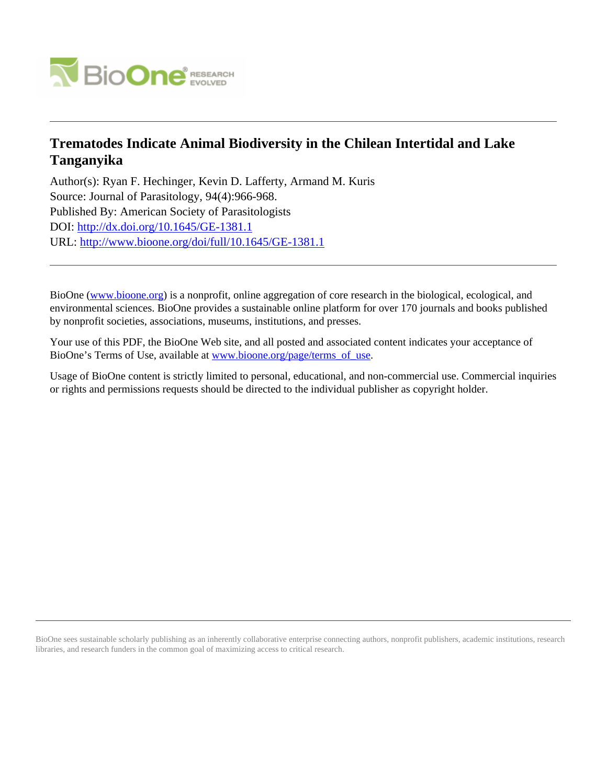

## **Trematodes Indicate Animal Biodiversity in the Chilean Intertidal and Lake Tanganyika**

Author(s): Ryan F. Hechinger, Kevin D. Lafferty, Armand M. Kuris Source: Journal of Parasitology, 94(4):966-968. Published By: American Society of Parasitologists DOI:<http://dx.doi.org/10.1645/GE-1381.1> URL: <http://www.bioone.org/doi/full/10.1645/GE-1381.1>

BioOne [\(www.bioone.org\)](http://www.bioone.org) is a nonprofit, online aggregation of core research in the biological, ecological, and environmental sciences. BioOne provides a sustainable online platform for over 170 journals and books published by nonprofit societies, associations, museums, institutions, and presses.

Your use of this PDF, the BioOne Web site, and all posted and associated content indicates your acceptance of BioOne's Terms of Use, available at [www.bioone.org/page/terms\\_of\\_use.](http://www.bioone.org/page/terms_of_use)

Usage of BioOne content is strictly limited to personal, educational, and non-commercial use. Commercial inquiries or rights and permissions requests should be directed to the individual publisher as copyright holder.

BioOne sees sustainable scholarly publishing as an inherently collaborative enterprise connecting authors, nonprofit publishers, academic institutions, research libraries, and research funders in the common goal of maximizing access to critical research.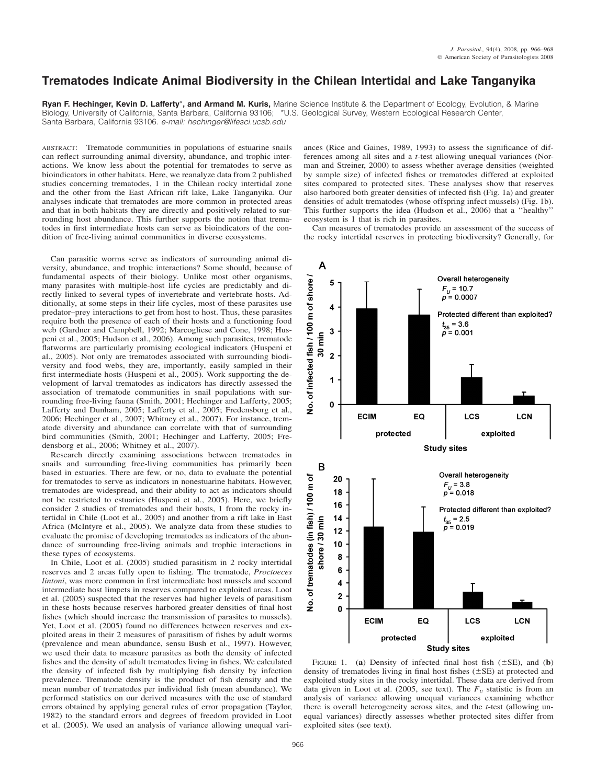## **Trematodes Indicate Animal Biodiversity in the Chilean Intertidal and Lake Tanganyika**

**Ryan F. Hechinger, Kevin D. Lafferty**\***, and Armand M. Kuris,** Marine Science Institute & the Department of Ecology, Evolution, & Marine Biology, University of California, Santa Barbara, California 93106; \*U.S. Geological Survey, Western Ecological Research Center, Santa Barbara, California 93106. *e-mail: hechinger@lifesci.ucsb.edu*

ABSTRACT: Trematode communities in populations of estuarine snails can reflect surrounding animal diversity, abundance, and trophic interactions. We know less about the potential for trematodes to serve as bioindicators in other habitats. Here, we reanalyze data from 2 published studies concerning trematodes, 1 in the Chilean rocky intertidal zone and the other from the East African rift lake, Lake Tanganyika. Our analyses indicate that trematodes are more common in protected areas and that in both habitats they are directly and positively related to surrounding host abundance. This further supports the notion that trematodes in first intermediate hosts can serve as bioindicators of the condition of free-living animal communities in diverse ecosystems.

Can parasitic worms serve as indicators of surrounding animal diversity, abundance, and trophic interactions? Some should, because of fundamental aspects of their biology. Unlike most other organisms, many parasites with multiple-host life cycles are predictably and directly linked to several types of invertebrate and vertebrate hosts. Additionally, at some steps in their life cycles, most of these parasites use predator–prey interactions to get from host to host. Thus, these parasites require both the presence of each of their hosts and a functioning food web (Gardner and Campbell, 1992; Marcogliese and Cone, 1998; Huspeni et al., 2005; Hudson et al., 2006). Among such parasites, trematode flatworms are particularly promising ecological indicators (Huspeni et al., 2005). Not only are trematodes associated with surrounding biodiversity and food webs, they are, importantly, easily sampled in their first intermediate hosts (Huspeni et al., 2005). Work supporting the development of larval trematodes as indicators has directly assessed the association of trematode communities in snail populations with surrounding free-living fauna (Smith, 2001; Hechinger and Lafferty, 2005; Lafferty and Dunham, 2005; Lafferty et al., 2005; Fredensborg et al., 2006; Hechinger et al., 2007; Whitney et al., 2007). For instance, trematode diversity and abundance can correlate with that of surrounding bird communities (Smith, 2001; Hechinger and Lafferty, 2005; Fredensborg et al., 2006; Whitney et al., 2007).

Research directly examining associations between trematodes in snails and surrounding free-living communities has primarily been based in estuaries. There are few, or no, data to evaluate the potential for trematodes to serve as indicators in nonestuarine habitats. However, trematodes are widespread, and their ability to act as indicators should not be restricted to estuaries (Huspeni et al., 2005). Here, we briefly consider 2 studies of trematodes and their hosts, 1 from the rocky intertidal in Chile (Loot et al., 2005) and another from a rift lake in East Africa (McIntyre et al., 2005). We analyze data from these studies to evaluate the promise of developing trematodes as indicators of the abundance of surrounding free-living animals and trophic interactions in these types of ecosystems.

In Chile, Loot et al. (2005) studied parasitism in 2 rocky intertidal reserves and 2 areas fully open to fishing. The trematode, *Proctoeces lintoni*, was more common in first intermediate host mussels and second intermediate host limpets in reserves compared to exploited areas. Loot et al. (2005) suspected that the reserves had higher levels of parasitism in these hosts because reserves harbored greater densities of final host fishes (which should increase the transmission of parasites to mussels). Yet, Loot et al. (2005) found no differences between reserves and exploited areas in their 2 measures of parasitism of fishes by adult worms (prevalence and mean abundance, sensu Bush et al., 1997). However, we used their data to measure parasites as both the density of infected fishes and the density of adult trematodes living in fishes. We calculated the density of infected fish by multiplying fish density by infection prevalence. Trematode density is the product of fish density and the mean number of trematodes per individual fish (mean abundance). We performed statistics on our derived measures with the use of standard errors obtained by applying general rules of error propagation (Taylor, 1982) to the standard errors and degrees of freedom provided in Loot et al. (2005). We used an analysis of variance allowing unequal variances (Rice and Gaines, 1989, 1993) to assess the significance of differences among all sites and a *t*-test allowing unequal variances (Norman and Streiner, 2000) to assess whether average densities (weighted by sample size) of infected fishes or trematodes differed at exploited sites compared to protected sites. These analyses show that reserves also harbored both greater densities of infected fish (Fig. 1a) and greater densities of adult trematodes (whose offspring infect mussels) (Fig. 1b). This further supports the idea (Hudson et al., 2006) that a ''healthy'' ecosystem is 1 that is rich in parasites.

Can measures of trematodes provide an assessment of the success of the rocky intertidal reserves in protecting biodiversity? Generally, for



FIGURE 1. (a) Density of infected final host fish  $(\pm SE)$ , and (b) density of trematodes living in final host fishes  $(\pm SE)$  at protected and exploited study sites in the rocky intertidal. These data are derived from data given in Loot et al. (2005, see text). The  $F_U$  statistic is from an analysis of variance allowing unequal variances examining whether there is overall heterogeneity across sites, and the *t*-test (allowing unequal variances) directly assesses whether protected sites differ from exploited sites (see text).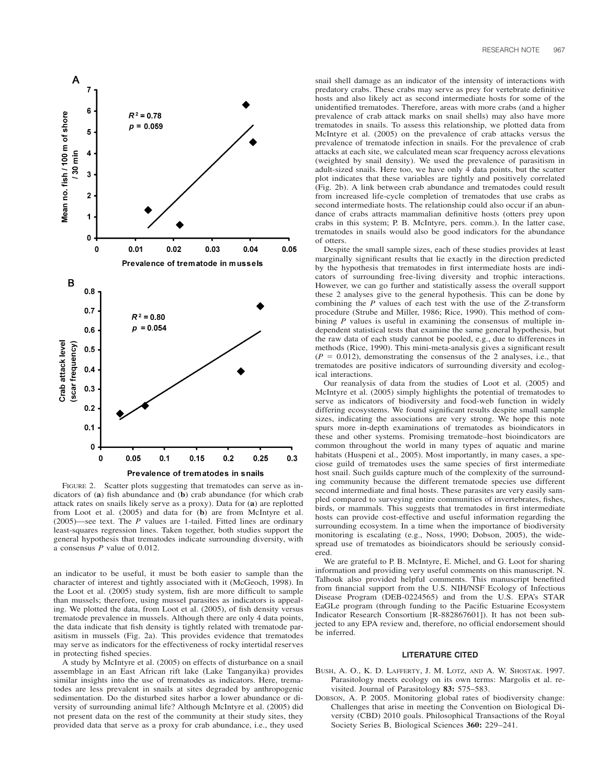

FIGURE 2. Scatter plots suggesting that trematodes can serve as indicators of (**a**) fish abundance and (**b**) crab abundance (for which crab attack rates on snails likely serve as a proxy). Data for (**a**) are replotted from Loot et al. (2005) and data for (**b**) are from McIntyre et al. (2005)—see text. The *P* values are 1-tailed. Fitted lines are ordinary least-squares regression lines. Taken together, both studies support the general hypothesis that trematodes indicate surrounding diversity, with a consensus *P* value of 0.012.

an indicator to be useful, it must be both easier to sample than the character of interest and tightly associated with it (McGeoch, 1998). In the Loot et al. (2005) study system, fish are more difficult to sample than mussels; therefore, using mussel parasites as indicators is appealing. We plotted the data, from Loot et al. (2005), of fish density versus trematode prevalence in mussels. Although there are only 4 data points, the data indicate that fish density is tightly related with trematode parasitism in mussels (Fig. 2a). This provides evidence that trematodes may serve as indicators for the effectiveness of rocky intertidal reserves in protecting fished species.

A study by McIntyre et al. (2005) on effects of disturbance on a snail assemblage in an East African rift lake (Lake Tanganyika) provides similar insights into the use of trematodes as indicators. Here, trematodes are less prevalent in snails at sites degraded by anthropogenic sedimentation. Do the disturbed sites harbor a lower abundance or diversity of surrounding animal life? Although McIntyre et al. (2005) did not present data on the rest of the community at their study sites, they provided data that serve as a proxy for crab abundance, i.e., they used

snail shell damage as an indicator of the intensity of interactions with predatory crabs. These crabs may serve as prey for vertebrate definitive hosts and also likely act as second intermediate hosts for some of the unidentified trematodes. Therefore, areas with more crabs (and a higher prevalence of crab attack marks on snail shells) may also have more trematodes in snails. To assess this relationship, we plotted data from McIntyre et al. (2005) on the prevalence of crab attacks versus the prevalence of trematode infection in snails. For the prevalence of crab attacks at each site, we calculated mean scar frequency across elevations (weighted by snail density). We used the prevalence of parasitism in adult-sized snails. Here too, we have only 4 data points, but the scatter plot indicates that these variables are tightly and positively correlated (Fig. 2b). A link between crab abundance and trematodes could result from increased life-cycle completion of trematodes that use crabs as second intermediate hosts. The relationship could also occur if an abundance of crabs attracts mammalian definitive hosts (otters prey upon crabs in this system; P. B. McIntyre, pers. comm.). In the latter case, trematodes in snails would also be good indicators for the abundance of otters.

Despite the small sample sizes, each of these studies provides at least marginally significant results that lie exactly in the direction predicted by the hypothesis that trematodes in first intermediate hosts are indicators of surrounding free-living diversity and trophic interactions. However, we can go further and statistically assess the overall support these 2 analyses give to the general hypothesis. This can be done by combining the *P* values of each test with the use of the *Z*-transform procedure (Strube and Miller, 1986; Rice, 1990). This method of combining *P* values is useful in examining the consensus of multiple independent statistical tests that examine the same general hypothesis, but the raw data of each study cannot be pooled, e.g., due to differences in methods (Rice, 1990). This mini-meta-analysis gives a significant result  $(P = 0.012)$ , demonstrating the consensus of the 2 analyses, i.e., that trematodes are positive indicators of surrounding diversity and ecological interactions.

Our reanalysis of data from the studies of Loot et al. (2005) and McIntyre et al. (2005) simply highlights the potential of trematodes to serve as indicators of biodiversity and food-web function in widely differing ecosystems. We found significant results despite small sample sizes, indicating the associations are very strong. We hope this note spurs more in-depth examinations of trematodes as bioindicators in these and other systems. Promising trematode–host bioindicators are common throughout the world in many types of aquatic and marine habitats (Huspeni et al., 2005). Most importantly, in many cases, a speciose guild of trematodes uses the same species of first intermediate host snail. Such guilds capture much of the complexity of the surrounding community because the different trematode species use different second intermediate and final hosts. These parasites are very easily sampled compared to surveying entire communities of invertebrates, fishes, birds, or mammals. This suggests that trematodes in first intermediate hosts can provide cost-effective and useful information regarding the surrounding ecosystem. In a time when the importance of biodiversity monitoring is escalating (e.g., Noss, 1990; Dobson, 2005), the widespread use of trematodes as bioindicators should be seriously considered.

We are grateful to P. B. McIntyre, E. Michel, and G. Loot for sharing information and providing very useful comments on this manuscript. N. Talhouk also provided helpful comments. This manuscript benefited from financial support from the U.S. NIH/NSF Ecology of Infectious Disease Program (DEB-0224565) and from the U.S. EPA's STAR EaGLe program (through funding to the Pacific Estuarine Ecosystem Indicator Research Consortium [R-882867601]). It has not been subjected to any EPA review and, therefore, no official endorsement should be inferred.

## **LITERATURE CITED**

- BUSH, A. O., K. D. LAFFERTY, J. M. LOTZ, AND A. W. SHOSTAK. 1997. Parasitology meets ecology on its own terms: Margolis et al. revisited. Journal of Parasitology **83:** 575–583.
- DOBSON, A. P. 2005. Monitoring global rates of biodiversity change: Challenges that arise in meeting the Convention on Biological Diversity (CBD) 2010 goals. Philosophical Transactions of the Royal Society Series B, Biological Sciences **360:** 229–241.